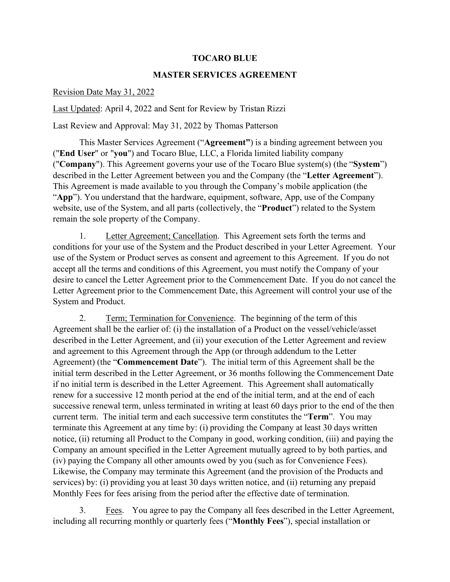## **TOCARO BLUE**

## **MASTER SERVICES AGREEMENT**

## Revision Date May 31, 2022

Last Updated: April 4, 2022 and Sent for Review by Tristan Rizzi

Last Review and Approval: May 31, 2022 by Thomas Patterson

This Master Services Agreement ("**Agreement"**) is a binding agreement between you ("**End User**" or "**you**") and Tocaro Blue, LLC, a Florida limited liability company ("**Company**"). This Agreement governs your use of the Tocaro Blue system(s) (the "**System**") described in the Letter Agreement between you and the Company (the "**Letter Agreement**"). This Agreement is made available to you through the Company's mobile application (the "**App**"). You understand that the hardware, equipment, software, App, use of the Company website, use of the System, and all parts (collectively, the "**Product**") related to the System remain the sole property of the Company.

1. Letter Agreement; Cancellation. This Agreement sets forth the terms and conditions for your use of the System and the Product described in your Letter Agreement. Your use of the System or Product serves as consent and agreement to this Agreement. If you do not accept all the terms and conditions of this Agreement, you must notify the Company of your desire to cancel the Letter Agreement prior to the Commencement Date. If you do not cancel the Letter Agreement prior to the Commencement Date, this Agreement will control your use of the System and Product.

2. Term; Termination for Convenience. The beginning of the term of this Agreement shall be the earlier of: (i) the installation of a Product on the vessel/vehicle/asset described in the Letter Agreement, and (ii) your execution of the Letter Agreement and review and agreement to this Agreement through the App (or through addendum to the Letter Agreement) (the "**Commencement Date**"). The initial term of this Agreement shall be the initial term described in the Letter Agreement, or 36 months following the Commencement Date if no initial term is described in the Letter Agreement. This Agreement shall automatically renew for a successive 12 month period at the end of the initial term, and at the end of each successive renewal term, unless terminated in writing at least 60 days prior to the end of the then current term. The initial term and each successive term constitutes the "**Term**". You may terminate this Agreement at any time by: (i) providing the Company at least 30 days written notice, (ii) returning all Product to the Company in good, working condition, (iii) and paying the Company an amount specified in the Letter Agreement mutually agreed to by both parties, and (iv) paying the Company all other amounts owed by you (such as for Convenience Fees). Likewise, the Company may terminate this Agreement (and the provision of the Products and services) by: (i) providing you at least 30 days written notice, and (ii) returning any prepaid Monthly Fees for fees arising from the period after the effective date of termination.

3. <u>Fees</u>. You agree to pay the Company all fees described in the Letter Agreement, including all recurring monthly or quarterly fees ("**Monthly Fees**"), special installation or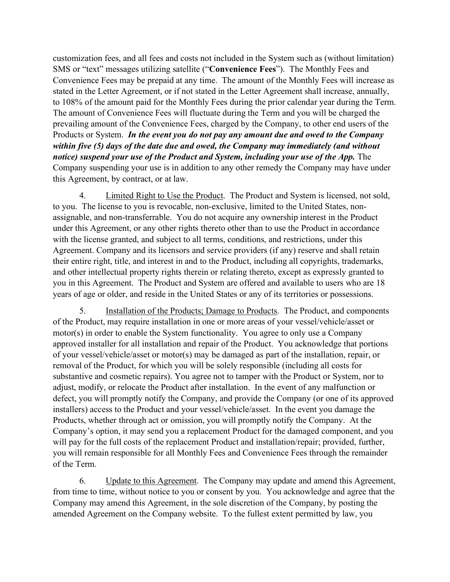customization fees, and all fees and costs not included in the System such as (without limitation) SMS or "text" messages utilizing satellite ("**Convenience Fees**"). The Monthly Fees and Convenience Fees may be prepaid at any time. The amount of the Monthly Fees will increase as stated in the Letter Agreement, or if not stated in the Letter Agreement shall increase, annually, to 108% of the amount paid for the Monthly Fees during the prior calendar year during the Term. The amount of Convenience Fees will fluctuate during the Term and you will be charged the prevailing amount of the Convenience Fees, charged by the Company, to other end users of the Products or System. *In the event you do not pay any amount due and owed to the Company within five (5) days of the date due and owed, the Company may immediately (and without notice) suspend your use of the Product and System, including your use of the App.* The Company suspending your use is in addition to any other remedy the Company may have under this Agreement, by contract, or at law.

4. Limited Right to Use the Product. The Product and System is licensed, not sold, to you. The license to you is revocable, non-exclusive, limited to the United States, nonassignable, and non-transferrable. You do not acquire any ownership interest in the Product under this Agreement, or any other rights thereto other than to use the Product in accordance with the license granted, and subject to all terms, conditions, and restrictions, under this Agreement. Company and its licensors and service providers (if any) reserve and shall retain their entire right, title, and interest in and to the Product, including all copyrights, trademarks, and other intellectual property rights therein or relating thereto, except as expressly granted to you in this Agreement. The Product and System are offered and available to users who are 18 years of age or older, and reside in the United States or any of its territories or possessions.

5. Installation of the Products; Damage to Products. The Product, and components of the Product, may require installation in one or more areas of your vessel/vehicle/asset or motor(s) in order to enable the System functionality. You agree to only use a Company approved installer for all installation and repair of the Product. You acknowledge that portions of your vessel/vehicle/asset or motor(s) may be damaged as part of the installation, repair, or removal of the Product, for which you will be solely responsible (including all costs for substantive and cosmetic repairs). You agree not to tamper with the Product or System, nor to adjust, modify, or relocate the Product after installation. In the event of any malfunction or defect, you will promptly notify the Company, and provide the Company (or one of its approved installers) access to the Product and your vessel/vehicle/asset. In the event you damage the Products, whether through act or omission, you will promptly notify the Company. At the Company's option, it may send you a replacement Product for the damaged component, and you will pay for the full costs of the replacement Product and installation/repair; provided, further, you will remain responsible for all Monthly Fees and Convenience Fees through the remainder of the Term.

6. Update to this Agreement. The Company may update and amend this Agreement, from time to time, without notice to you or consent by you. You acknowledge and agree that the Company may amend this Agreement, in the sole discretion of the Company, by posting the amended Agreement on the Company website. To the fullest extent permitted by law, you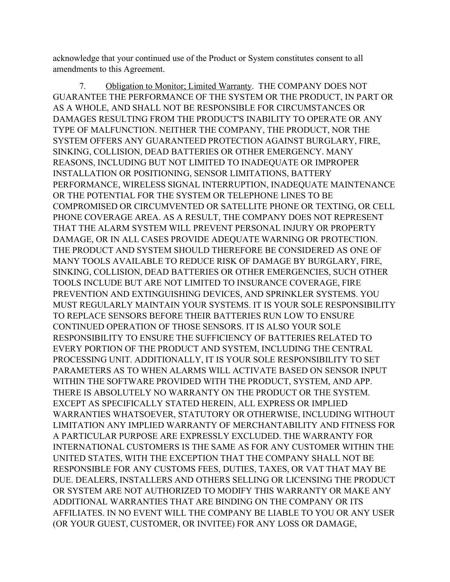acknowledge that your continued use of the Product or System constitutes consent to all amendments to this Agreement.

7. Obligation to Monitor; Limited Warranty. THE COMPANY DOES NOT GUARANTEE THE PERFORMANCE OF THE SYSTEM OR THE PRODUCT, IN PART OR AS A WHOLE, AND SHALL NOT BE RESPONSIBLE FOR CIRCUMSTANCES OR DAMAGES RESULTING FROM THE PRODUCT'S INABILITY TO OPERATE OR ANY TYPE OF MALFUNCTION. NEITHER THE COMPANY, THE PRODUCT, NOR THE SYSTEM OFFERS ANY GUARANTEED PROTECTION AGAINST BURGLARY, FIRE, SINKING, COLLISION, DEAD BATTERIES OR OTHER EMERGENCY. MANY REASONS, INCLUDING BUT NOT LIMITED TO INADEQUATE OR IMPROPER INSTALLATION OR POSITIONING, SENSOR LIMITATIONS, BATTERY PERFORMANCE, WIRELESS SIGNAL INTERRUPTION, INADEQUATE MAINTENANCE OR THE POTENTIAL FOR THE SYSTEM OR TELEPHONE LINES TO BE COMPROMISED OR CIRCUMVENTED OR SATELLITE PHONE OR TEXTING, OR CELL PHONE COVERAGE AREA. AS A RESULT, THE COMPANY DOES NOT REPRESENT THAT THE ALARM SYSTEM WILL PREVENT PERSONAL INJURY OR PROPERTY DAMAGE, OR IN ALL CASES PROVIDE ADEQUATE WARNING OR PROTECTION. THE PRODUCT AND SYSTEM SHOULD THEREFORE BE CONSIDERED AS ONE OF MANY TOOLS AVAILABLE TO REDUCE RISK OF DAMAGE BY BURGLARY, FIRE, SINKING, COLLISION, DEAD BATTERIES OR OTHER EMERGENCIES, SUCH OTHER TOOLS INCLUDE BUT ARE NOT LIMITED TO INSURANCE COVERAGE, FIRE PREVENTION AND EXTINGUISHING DEVICES, AND SPRINKLER SYSTEMS. YOU MUST REGULARLY MAINTAIN YOUR SYSTEMS. IT IS YOUR SOLE RESPONSIBILITY TO REPLACE SENSORS BEFORE THEIR BATTERIES RUN LOW TO ENSURE CONTINUED OPERATION OF THOSE SENSORS. IT IS ALSO YOUR SOLE RESPONSIBILITY TO ENSURE THE SUFFICIENCY OF BATTERIES RELATED TO EVERY PORTION OF THE PRODUCT AND SYSTEM, INCLUDING THE CENTRAL PROCESSING UNIT. ADDITIONALLY, IT IS YOUR SOLE RESPONSIBILITY TO SET PARAMETERS AS TO WHEN ALARMS WILL ACTIVATE BASED ON SENSOR INPUT WITHIN THE SOFTWARE PROVIDED WITH THE PRODUCT, SYSTEM, AND APP. THERE IS ABSOLUTELY NO WARRANTY ON THE PRODUCT OR THE SYSTEM. EXCEPT AS SPECIFICALLY STATED HEREIN, ALL EXPRESS OR IMPLIED WARRANTIES WHATSOEVER, STATUTORY OR OTHERWISE, INCLUDING WITHOUT LIMITATION ANY IMPLIED WARRANTY OF MERCHANTABILITY AND FITNESS FOR A PARTICULAR PURPOSE ARE EXPRESSLY EXCLUDED. THE WARRANTY FOR INTERNATIONAL CUSTOMERS IS THE SAME AS FOR ANY CUSTOMER WITHIN THE UNITED STATES, WITH THE EXCEPTION THAT THE COMPANY SHALL NOT BE RESPONSIBLE FOR ANY CUSTOMS FEES, DUTIES, TAXES, OR VAT THAT MAY BE DUE. DEALERS, INSTALLERS AND OTHERS SELLING OR LICENSING THE PRODUCT OR SYSTEM ARE NOT AUTHORIZED TO MODIFY THIS WARRANTY OR MAKE ANY ADDITIONAL WARRANTIES THAT ARE BINDING ON THE COMPANY OR ITS AFFILIATES. IN NO EVENT WILL THE COMPANY BE LIABLE TO YOU OR ANY USER (OR YOUR GUEST, CUSTOMER, OR INVITEE) FOR ANY LOSS OR DAMAGE,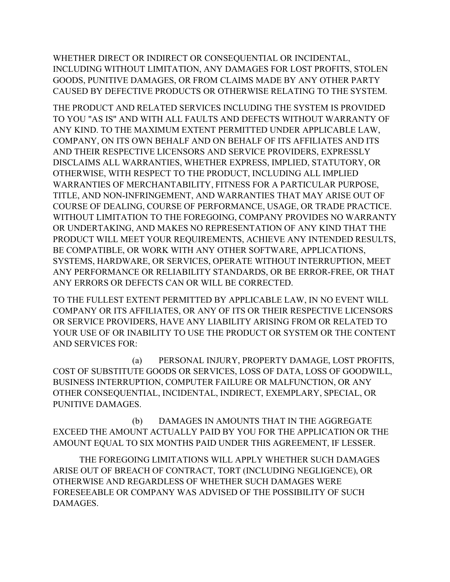WHETHER DIRECT OR INDIRECT OR CONSEQUENTIAL OR INCIDENTAL, INCLUDING WITHOUT LIMITATION, ANY DAMAGES FOR LOST PROFITS, STOLEN GOODS, PUNITIVE DAMAGES, OR FROM CLAIMS MADE BY ANY OTHER PARTY CAUSED BY DEFECTIVE PRODUCTS OR OTHERWISE RELATING TO THE SYSTEM.

THE PRODUCT AND RELATED SERVICES INCLUDING THE SYSTEM IS PROVIDED TO YOU "AS IS" AND WITH ALL FAULTS AND DEFECTS WITHOUT WARRANTY OF ANY KIND. TO THE MAXIMUM EXTENT PERMITTED UNDER APPLICABLE LAW, COMPANY, ON ITS OWN BEHALF AND ON BEHALF OF ITS AFFILIATES AND ITS AND THEIR RESPECTIVE LICENSORS AND SERVICE PROVIDERS, EXPRESSLY DISCLAIMS ALL WARRANTIES, WHETHER EXPRESS, IMPLIED, STATUTORY, OR OTHERWISE, WITH RESPECT TO THE PRODUCT, INCLUDING ALL IMPLIED WARRANTIES OF MERCHANTABILITY, FITNESS FOR A PARTICULAR PURPOSE, TITLE, AND NON-INFRINGEMENT, AND WARRANTIES THAT MAY ARISE OUT OF COURSE OF DEALING, COURSE OF PERFORMANCE, USAGE, OR TRADE PRACTICE. WITHOUT LIMITATION TO THE FOREGOING, COMPANY PROVIDES NO WARRANTY OR UNDERTAKING, AND MAKES NO REPRESENTATION OF ANY KIND THAT THE PRODUCT WILL MEET YOUR REQUIREMENTS, ACHIEVE ANY INTENDED RESULTS, BE COMPATIBLE, OR WORK WITH ANY OTHER SOFTWARE, APPLICATIONS, SYSTEMS, HARDWARE, OR SERVICES, OPERATE WITHOUT INTERRUPTION, MEET ANY PERFORMANCE OR RELIABILITY STANDARDS, OR BE ERROR-FREE, OR THAT ANY ERRORS OR DEFECTS CAN OR WILL BE CORRECTED.

TO THE FULLEST EXTENT PERMITTED BY APPLICABLE LAW, IN NO EVENT WILL COMPANY OR ITS AFFILIATES, OR ANY OF ITS OR THEIR RESPECTIVE LICENSORS OR SERVICE PROVIDERS, HAVE ANY LIABILITY ARISING FROM OR RELATED TO YOUR USE OF OR INABILITY TO USE THE PRODUCT OR SYSTEM OR THE CONTENT AND SERVICES FOR:

(a) PERSONAL INJURY, PROPERTY DAMAGE, LOST PROFITS, COST OF SUBSTITUTE GOODS OR SERVICES, LOSS OF DATA, LOSS OF GOODWILL, BUSINESS INTERRUPTION, COMPUTER FAILURE OR MALFUNCTION, OR ANY OTHER CONSEQUENTIAL, INCIDENTAL, INDIRECT, EXEMPLARY, SPECIAL, OR PUNITIVE DAMAGES.

(b) DAMAGES IN AMOUNTS THAT IN THE AGGREGATE EXCEED THE AMOUNT ACTUALLY PAID BY YOU FOR THE APPLICATION OR THE AMOUNT EQUAL TO SIX MONTHS PAID UNDER THIS AGREEMENT, IF LESSER.

THE FOREGOING LIMITATIONS WILL APPLY WHETHER SUCH DAMAGES ARISE OUT OF BREACH OF CONTRACT, TORT (INCLUDING NEGLIGENCE), OR OTHERWISE AND REGARDLESS OF WHETHER SUCH DAMAGES WERE FORESEEABLE OR COMPANY WAS ADVISED OF THE POSSIBILITY OF SUCH DAMAGES.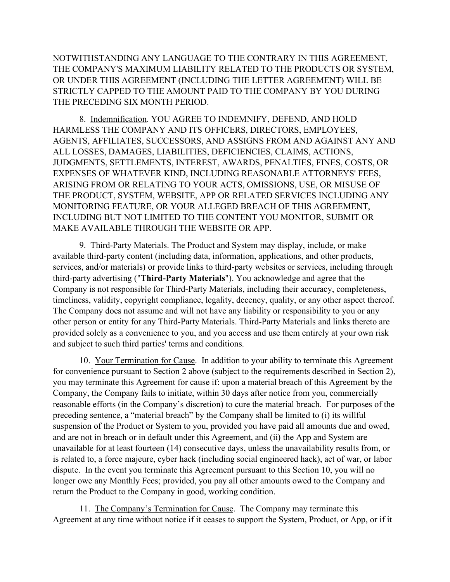NOTWITHSTANDING ANY LANGUAGE TO THE CONTRARY IN THIS AGREEMENT, THE COMPANY'S MAXIMUM LIABILITY RELATED TO THE PRODUCTS OR SYSTEM, OR UNDER THIS AGREEMENT (INCLUDING THE LETTER AGREEMENT) WILL BE STRICTLY CAPPED TO THE AMOUNT PAID TO THE COMPANY BY YOU DURING THE PRECEDING SIX MONTH PERIOD.

8. Indemnification. YOU AGREE TO INDEMNIFY, DEFEND, AND HOLD HARMLESS THE COMPANY AND ITS OFFICERS, DIRECTORS, EMPLOYEES, AGENTS, AFFILIATES, SUCCESSORS, AND ASSIGNS FROM AND AGAINST ANY AND ALL LOSSES, DAMAGES, LIABILITIES, DEFICIENCIES, CLAIMS, ACTIONS, JUDGMENTS, SETTLEMENTS, INTEREST, AWARDS, PENALTIES, FINES, COSTS, OR EXPENSES OF WHATEVER KIND, INCLUDING REASONABLE ATTORNEYS' FEES, ARISING FROM OR RELATING TO YOUR ACTS, OMISSIONS, USE, OR MISUSE OF THE PRODUCT, SYSTEM, WEBSITE, APP OR RELATED SERVICES INCLUDING ANY MONITORING FEATURE, OR YOUR ALLEGED BREACH OF THIS AGREEMENT, INCLUDING BUT NOT LIMITED TO THE CONTENT YOU MONITOR, SUBMIT OR MAKE AVAILABLE THROUGH THE WEBSITE OR APP.

9. Third-Party Materials. The Product and System may display, include, or make available third-party content (including data, information, applications, and other products, services, and/or materials) or provide links to third-party websites or services, including through third-party advertising ("**Third-Party Materials**"). You acknowledge and agree that the Company is not responsible for Third-Party Materials, including their accuracy, completeness, timeliness, validity, copyright compliance, legality, decency, quality, or any other aspect thereof. The Company does not assume and will not have any liability or responsibility to you or any other person or entity for any Third-Party Materials. Third-Party Materials and links thereto are provided solely as a convenience to you, and you access and use them entirely at your own risk and subject to such third parties' terms and conditions.

10. Your Termination for Cause. In addition to your ability to terminate this Agreement for convenience pursuant to Section 2 above (subject to the requirements described in Section 2), you may terminate this Agreement for cause if: upon a material breach of this Agreement by the Company, the Company fails to initiate, within 30 days after notice from you, commercially reasonable efforts (in the Company's discretion) to cure the material breach. For purposes of the preceding sentence, a "material breach" by the Company shall be limited to (i) its willful suspension of the Product or System to you, provided you have paid all amounts due and owed, and are not in breach or in default under this Agreement, and (ii) the App and System are unavailable for at least fourteen (14) consecutive days, unless the unavailability results from, or is related to, a force majeure, cyber hack (including social engineered hack), act of war, or labor dispute. In the event you terminate this Agreement pursuant to this Section 10, you will no longer owe any Monthly Fees; provided, you pay all other amounts owed to the Company and return the Product to the Company in good, working condition.

11. The Company's Termination for Cause. The Company may terminate this Agreement at any time without notice if it ceases to support the System, Product, or App, or if it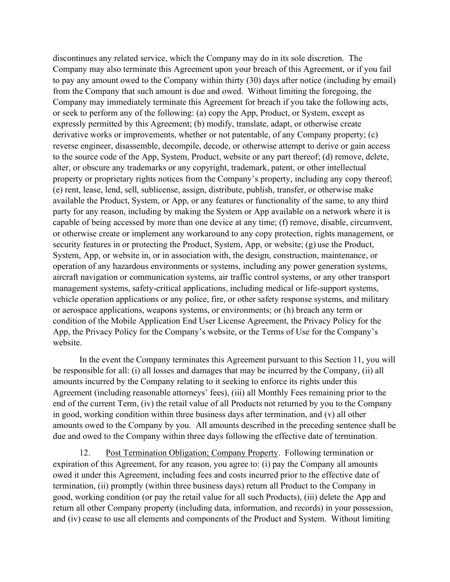discontinues any related service, which the Company may do in its sole discretion. The Company may also terminate this Agreement upon your breach of this Agreement, or if you fail to pay any amount owed to the Company within thirty (30) days after notice (including by email) from the Company that such amount is due and owed. Without limiting the foregoing, the Company may immediately terminate this Agreement for breach if you take the following acts, or seek to perform any of the following: (a) copy the App, Product, or System, except as expressly permitted by this Agreement; (b) modify, translate, adapt, or otherwise create derivative works or improvements, whether or not patentable, of any Company property; (c) reverse engineer, disassemble, decompile, decode, or otherwise attempt to derive or gain access to the source code of the App, System, Product, website or any part thereof; (d) remove, delete, alter, or obscure any trademarks or any copyright, trademark, patent, or other intellectual property or proprietary rights notices from the Company's property, including any copy thereof; (e) rent, lease, lend, sell, sublicense, assign, distribute, publish, transfer, or otherwise make available the Product, System, or App, or any features or functionality of the same, to any third party for any reason, including by making the System or App available on a network where it is capable of being accessed by more than one device at any time; (f) remove, disable, circumvent, or otherwise create or implement any workaround to any copy protection, rights management, or security features in or protecting the Product, System, App, or website; (g) use the Product, System, App, or website in, or in association with, the design, construction, maintenance, or operation of any hazardous environments or systems, including any power generation systems, aircraft navigation or communication systems, air traffic control systems, or any other transport management systems, safety-critical applications, including medical or life-support systems, vehicle operation applications or any police, fire, or other safety response systems, and military or aerospace applications, weapons systems, or environments; or (h) breach any term or condition of the Mobile Application End User License Agreement, the Privacy Policy for the App, the Privacy Policy for the Company's website, or the Terms of Use for the Company's website.

In the event the Company terminates this Agreement pursuant to this Section 11, you will be responsible for all: (i) all losses and damages that may be incurred by the Company, (ii) all amounts incurred by the Company relating to it seeking to enforce its rights under this Agreement (including reasonable attorneys' fees), (iii) all Monthly Fees remaining prior to the end of the current Term, (iv) the retail value of all Products not returned by you to the Company in good, working condition within three business days after termination, and (v) all other amounts owed to the Company by you. All amounts described in the preceding sentence shall be due and owed to the Company within three days following the effective date of termination.

12. Post Termination Obligation; Company Property. Following termination or expiration of this Agreement, for any reason, you agree to: (i) pay the Company all amounts owed it under this Agreement, including fees and costs incurred prior to the effective date of termination, (ii) promptly (within three business days) return all Product to the Company in good, working condition (or pay the retail value for all such Products), (iii) delete the App and return all other Company property (including data, information, and records) in your possession, and (iv) cease to use all elements and components of the Product and System. Without limiting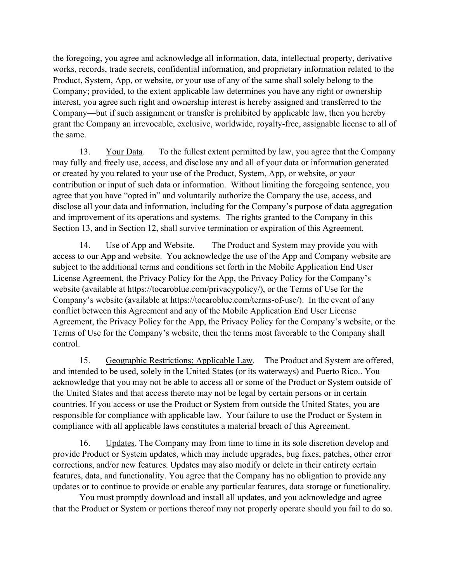the foregoing, you agree and acknowledge all information, data, intellectual property, derivative works, records, trade secrets, confidential information, and proprietary information related to the Product, System, App, or website, or your use of any of the same shall solely belong to the Company; provided, to the extent applicable law determines you have any right or ownership interest, you agree such right and ownership interest is hereby assigned and transferred to the Company—but if such assignment or transfer is prohibited by applicable law, then you hereby grant the Company an irrevocable, exclusive, worldwide, royalty-free, assignable license to all of the same.

13. Your Data. To the fullest extent permitted by law, you agree that the Company may fully and freely use, access, and disclose any and all of your data or information generated or created by you related to your use of the Product, System, App, or website, or your contribution or input of such data or information. Without limiting the foregoing sentence, you agree that you have "opted in" and voluntarily authorize the Company the use, access, and disclose all your data and information, including for the Company's purpose of data aggregation and improvement of its operations and systems. The rights granted to the Company in this Section 13, and in Section 12, shall survive termination or expiration of this Agreement.

14. Use of App and Website. The Product and System may provide you with access to our App and website. You acknowledge the use of the App and Company website are subject to the additional terms and conditions set forth in the Mobile Application End User License Agreement, the Privacy Policy for the App, the Privacy Policy for the Company's website (available at https://tocaroblue.com/privacypolicy/), or the Terms of Use for the Company's website (available at https://tocaroblue.com/terms-of-use/). In the event of any conflict between this Agreement and any of the Mobile Application End User License Agreement, the Privacy Policy for the App, the Privacy Policy for the Company's website, or the Terms of Use for the Company's website, then the terms most favorable to the Company shall control.

15. Geographic Restrictions; Applicable Law. The Product and System are offered, and intended to be used, solely in the United States (or its waterways) and Puerto Rico.. You acknowledge that you may not be able to access all or some of the Product or System outside of the United States and that access thereto may not be legal by certain persons or in certain countries. If you access or use the Product or System from outside the United States, you are responsible for compliance with applicable law. Your failure to use the Product or System in compliance with all applicable laws constitutes a material breach of this Agreement.

16. Updates. The Company may from time to time in its sole discretion develop and provide Product or System updates, which may include upgrades, bug fixes, patches, other error corrections, and/or new features. Updates may also modify or delete in their entirety certain features, data, and functionality. You agree that the Company has no obligation to provide any updates or to continue to provide or enable any particular features, data storage or functionality.

You must promptly download and install all updates, and you acknowledge and agree that the Product or System or portions thereof may not properly operate should you fail to do so.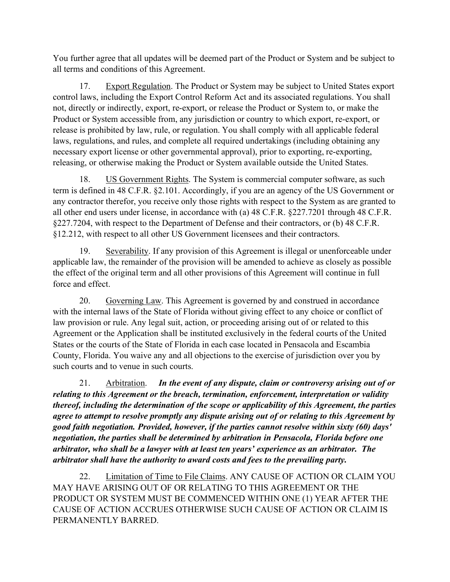You further agree that all updates will be deemed part of the Product or System and be subject to all terms and conditions of this Agreement.

17. Export Regulation. The Product or System may be subject to United States export control laws, including the Export Control Reform Act and its associated regulations. You shall not, directly or indirectly, export, re-export, or release the Product or System to, or make the Product or System accessible from, any jurisdiction or country to which export, re-export, or release is prohibited by law, rule, or regulation. You shall comply with all applicable federal laws, regulations, and rules, and complete all required undertakings (including obtaining any necessary export license or other governmental approval), prior to exporting, re-exporting, releasing, or otherwise making the Product or System available outside the United States.

18. US Government Rights. The System is commercial computer software, as such term is defined in 48 C.F.R. §2.101. Accordingly, if you are an agency of the US Government or any contractor therefor, you receive only those rights with respect to the System as are granted to all other end users under license, in accordance with (a) 48 C.F.R. §227.7201 through 48 C.F.R. §227.7204, with respect to the Department of Defense and their contractors, or (b) 48 C.F.R. §12.212, with respect to all other US Government licensees and their contractors.

19. Severability. If any provision of this Agreement is illegal or unenforceable under applicable law, the remainder of the provision will be amended to achieve as closely as possible the effect of the original term and all other provisions of this Agreement will continue in full force and effect.

20. Governing Law. This Agreement is governed by and construed in accordance with the internal laws of the State of Florida without giving effect to any choice or conflict of law provision or rule. Any legal suit, action, or proceeding arising out of or related to this Agreement or the Application shall be instituted exclusively in the federal courts of the United States or the courts of the State of Florida in each case located in Pensacola and Escambia County, Florida. You waive any and all objections to the exercise of jurisdiction over you by such courts and to venue in such courts.

21. Arbitration. *In the event of any dispute, claim or controversy arising out of or relating to this Agreement or the breach, termination, enforcement, interpretation or validity thereof, including the determination of the scope or applicability of this Agreement, the parties agree to attempt to resolve promptly any dispute arising out of or relating to this Agreement by good faith negotiation. Provided, however, if the parties cannot resolve within sixty (60) days' negotiation, the parties shall be determined by arbitration in Pensacola, Florida before one arbitrator, who shall be a lawyer with at least ten years' experience as an arbitrator. The arbitrator shall have the authority to award costs and fees to the prevailing party.*

22. Limitation of Time to File Claims. ANY CAUSE OF ACTION OR CLAIM YOU MAY HAVE ARISING OUT OF OR RELATING TO THIS AGREEMENT OR THE PRODUCT OR SYSTEM MUST BE COMMENCED WITHIN ONE (1) YEAR AFTER THE CAUSE OF ACTION ACCRUES OTHERWISE SUCH CAUSE OF ACTION OR CLAIM IS PERMANENTLY BARRED.